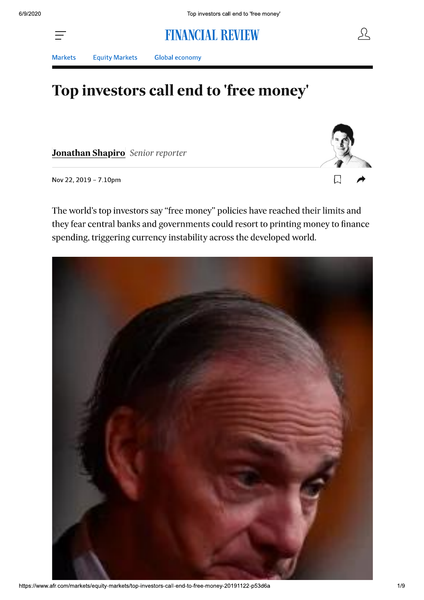# **FINANCIAL REVIEW**

**Markets** 

**Equity Markets** 

**Global economy** 

# Top investors call end to 'free money'

Jonathan Shapiro Senior reporter

Nov 22, 2019 - 7.10pm

L

The world's top investors say "free money" policies have reached their limits and they fear central banks and governments could resort to printing money to finance spending, triggering currency instability across the developed world.

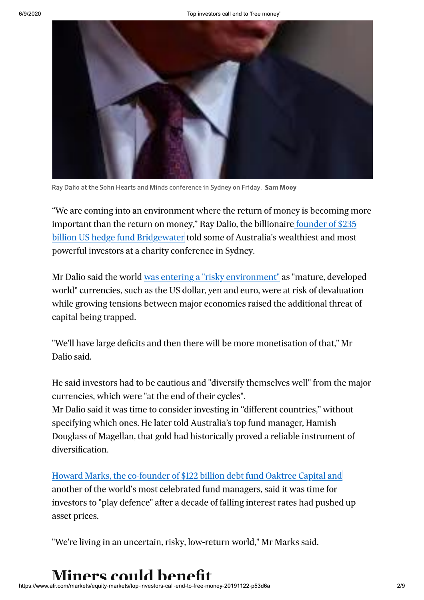

Ray Dalio at the Sohn Hearts and Minds conference in Sydney on Friday. Sam Mooy

"We are coming into an environment where the return of money is becoming more important than the return on money," Ray Dalio, the billionaire founder of \$235 billion US hedge fund Bridgewater told some of Australia's wealthiest and most powerful investors at a charity conference in Sydney.

Mr Dalio said the world was entering a "risky environment" as "mature, developed world" currencies, such as the US dollar, yen and euro, were at risk of devaluation while growing tensions between major economies raised the additional threat of capital being trapped.

"We'll have large deficits and then there will be more monetisation of that," Mr Dalio said.

He said investors had to be cautious and "diversify themselves well" from the major currencies, which were "at the end of their cycles".

Mr Dalio said it was time to consider investing in "different countries," without specifying which ones. He later told Australia's top fund manager, Hamish Douglass of Magellan, that gold had historically proved a reliable instrument of diversification.

Howard Marks, the co-founder of \$122 billion debt fund Oaktree Capital and another of the world's most celebrated fund managers, said it was time for investors to "play defence" after a decade of falling interest rates had pushed up asset prices.

"We're living in an uncertain, risky, low-return world," Mr Marks said.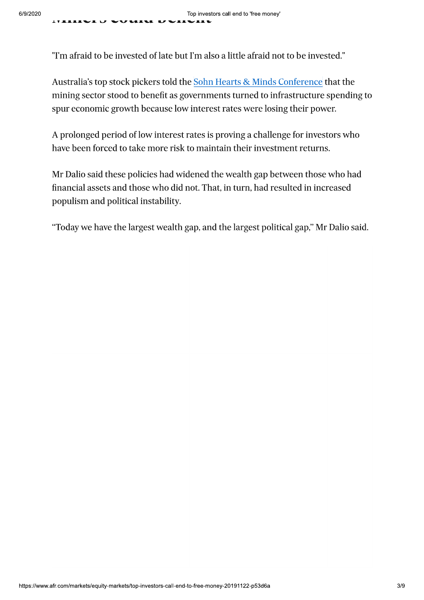Top investors call end to 'tree money'<br>
Tim afraid to be invested of late but I'm also a little afraid not to be invested."<br>
Australia's top stock pickers told the <u>Sohn Hearts & Minds Conference</u> that the<br>
mining sector s

populism and political instability.

"Today we have the largest wealth gap, and the largest political gap," Mr Dalio said.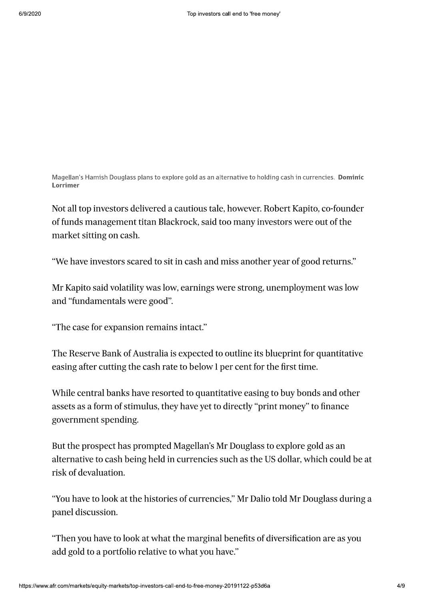Magellan's Hamish Douglass plans to explore gold as an alternative to holding cash in currencies. Dominic Lorrimer

Not all top investors delivered a cautious tale, however. Robert Kapito, co-founder of funds management titan Blackrock, said too many investors were out of the market sitting on cash.

"We have investors scared to sit in cash and miss another year of good returns."

Mr Kapito said volatility was low, earnings were strong, unemployment was low and "fundamentals were good".

"The case for expansion remains intact."

The Reserve Bank of Australia is expected to outline its blueprint for quantitative easing after cutting the cash rate to below 1 per cent for the first time.

While central banks have resorted to quantitative easing to buy bonds and other assets as a form of stimulus, they have yet to directly "print money" to finance government spending.

But the prospect has prompted Magellan's Mr Douglass to explore gold as an alternative to cash being held in currencies such as the US dollar, which could be at risk of devaluation.

"You have to look at the histories of currencies," Mr Dalio told Mr Douglass during a panel discussion.

"Then you have to look at what the marginal benefits of diversification are as you add gold to a portfolio relative to what you have."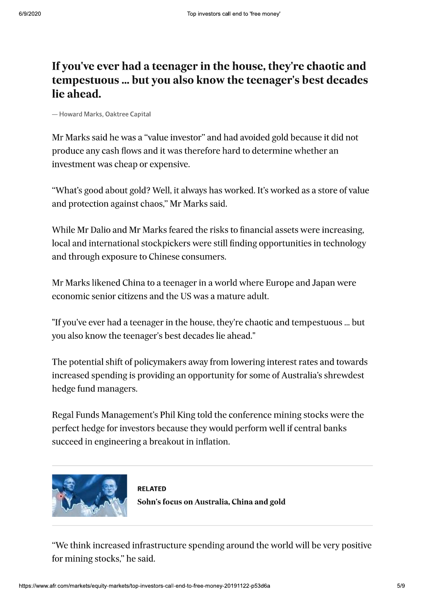# If you've ever had a teenager in the house, they're chaotic and tempestuous ... but you also know the teenager's best decades lie ahead.

-Howard Marks, Oaktree Capital

Mr Marks said he was a "value investor" and had avoided gold because it did not produce any cash flows and it was therefore hard to determine whether an investment was cheap or expensive.

"What's good about gold? Well, it always has worked. It's worked as a store of value and protection against chaos," Mr Marks said.

While Mr Dalio and Mr Marks feared the risks to financial assets were increasing, local and international stockpickers were still finding opportunities in technology and through exposure to Chinese consumers.

Mr Marks likened China to a teenager in a world where Europe and Japan were economic senior citizens and the US was a mature adult.

"If you've ever had a teenager in the house, they're chaotic and tempestuous ... but you also know the teenager's best decades lie ahead."

The potential shift of policymakers away from lowering interest rates and towards increased spending is providing an opportunity for some of Australia's shrewdest hedge fund managers.

Regal Funds Management's Phil King told the conference mining stocks were the perfect hedge for investors because they would perform well if central banks succeed in engineering a breakout in inflation.



**RFI ATFD** Sohn's focus on Australia, China and gold

"We think increased infrastructure spending around the world will be very positive for mining stocks," he said.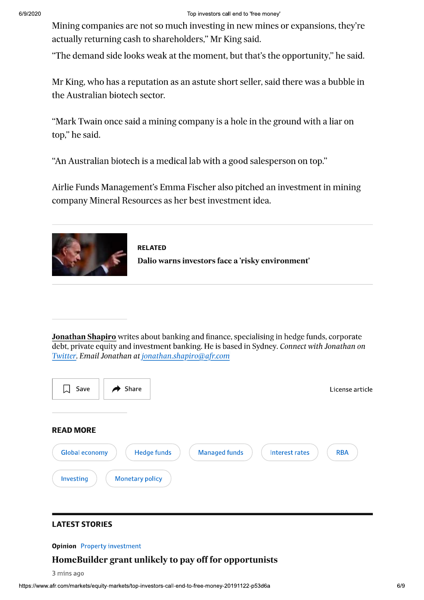Mining companies are not so much investing in new mines or expansions, they're actually returning cash to shareholders," Mr King said.

"The demand side looks weak at the moment, but that's the opportunity," he said.

Mr King, who has a reputation as an astute short seller, said there was a bubble in the Australian biotech sector.

"Mark Twain once said a mining company is a hole in the ground with a liar on top," he said.

"An Australian biotech is a medical lab with a good salesperson on top."

Airlie Funds Management's Emma Fischer also pitched an investment in mining company Mineral Resources as her best investment idea.





**Jonathan Shapiro** writes about banking and finance, specialising in hedge funds, corporate debt, private equity and investment banking. He is based in Sydney. Connect with Jonathan on Twitter. Email Jonathan at jonathan.shapiro@afr.com



### **LATEST STORIES**

### **Opinion** Property investment

# Home Builder grant unlikely to pay off for opportunists

3 mins ago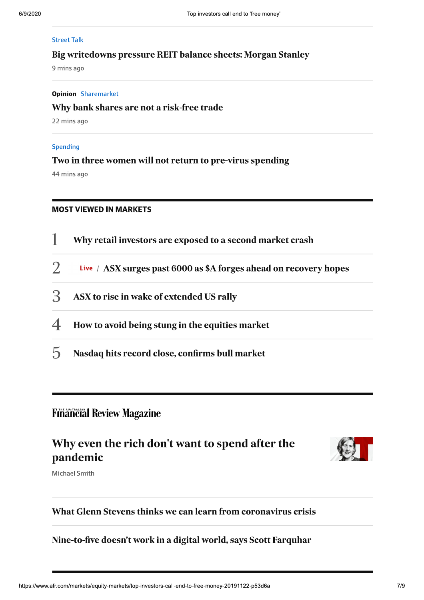### **Street Talk**

### Big writedowns pressure REIT balance sheets: Morgan Stanley

9 mins ago

### **Opinion** Sharemarket

### Why bank shares are not a risk-free trade

22 mins ago

### Spending

### Two in three women will not return to pre-virus spending

44 mins ago

### **MOST VIEWED IN MARKETS**

|                          | Why retail investors are exposed to a second market crash         |  |
|--------------------------|-------------------------------------------------------------------|--|
| $\mathcal{L}$            | Live / ASX surges past 6000 as \$A forges ahead on recovery hopes |  |
| $\mathcal{B}$            | ASX to rise in wake of extended US rally                          |  |
| $\overline{\mathcal{A}}$ | How to avoid being stung in the equities market                   |  |
| $\mathcal{L}$            | Nasdaq hits record close, confirms bull market                    |  |

# **Financial Review Magazine**

# Why even the rich don't want to spend after the pandemic



Michael Smith

# What Glenn Stevens thinks we can learn from coronavirus crisis

## Nine-to-five doesn't work in a digital world, says Scott Farquhar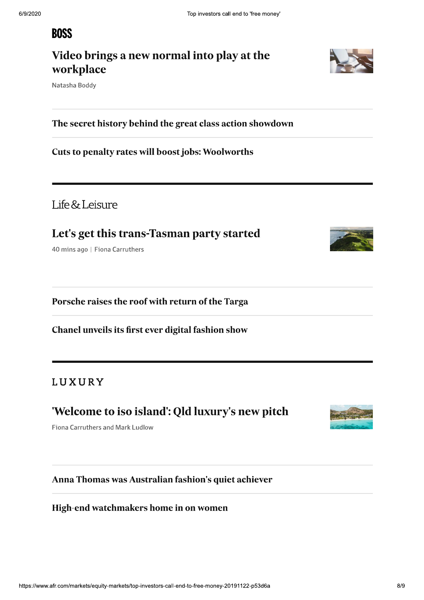# **EXECUTE:**<br> **EXECUTE:**<br> **EXECUTE:**<br> **EXECUTE:**<br> **EXECUTE:**<br> **EXECUTE:**<br> **EXECUTE:**<br> **EXECUTE:**<br> **EXECUTE:**<br> **EXECUTE:**<br> **EXECUTE:**<br> **EXECUTE:**<br> **EXECUTE:**<br> **EXECUTE:**<br> **EXECUTE:**<br> **EXECUTE:**<br> **EXECUTE:**<br> **EXECUTE:**<br> **EXEC**